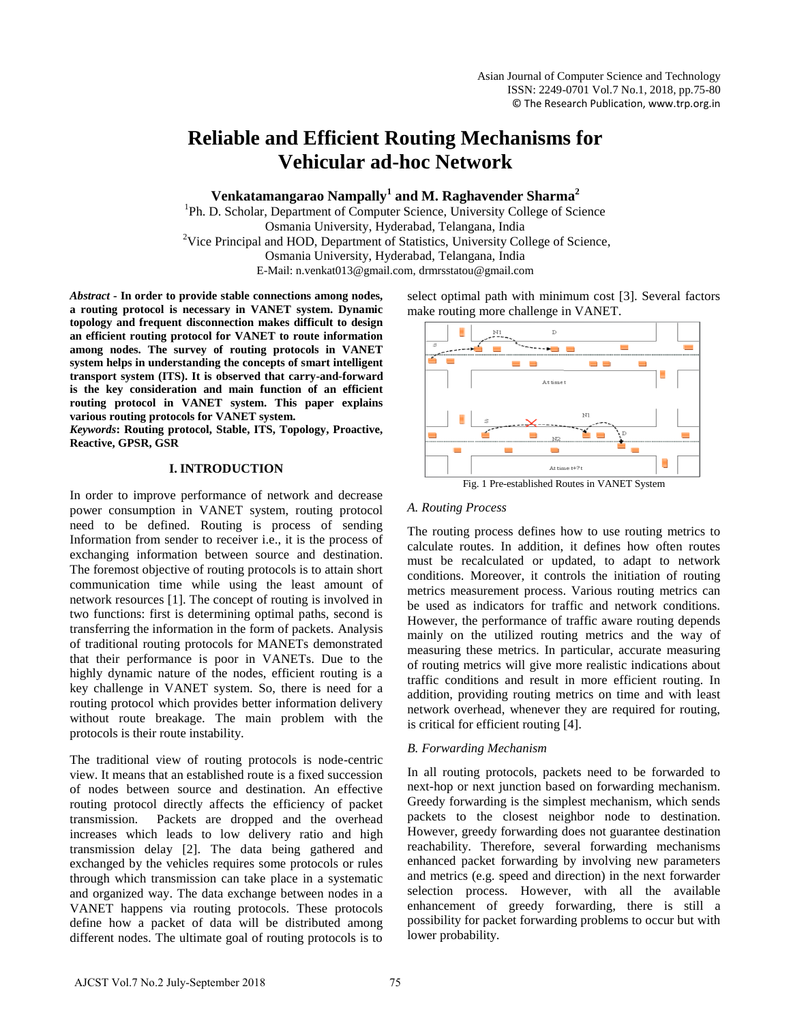# **Reliable and Efficient Routing Mechanisms for Vehicular ad-hoc Network**

**Venkatamangarao Nampally<sup>1</sup> and M. Raghavender Sharma<sup>2</sup>**

<sup>1</sup>Ph. D. Scholar, Department of Computer Science, University College of Science Osmania University, Hyderabad, Telangana, India <sup>2</sup>Vice Principal and HOD, Department of Statistics, University College of Science, Osmania University, Hyderabad, Telangana, India E-Mail: n.venkat013@gmail.com, drmrsstatou@gmail.com

*Abstract* **- In order to provide stable connections among nodes, a routing protocol is necessary in VANET system. Dynamic topology and frequent disconnection makes difficult to design an efficient routing protocol for VANET to route information among nodes. The survey of routing protocols in VANET system helps in understanding the concepts of smart intelligent transport system (ITS). It is observed that carry-and-forward is the key consideration and main function of an efficient routing protocol in VANET system. This paper explains various routing protocols for VANET system.**

*Keywords***: Routing protocol, Stable, ITS, Topology, Proactive, Reactive, GPSR, GSR**

# **I. INTRODUCTION**

In order to improve performance of network and decrease power consumption in VANET system, routing protocol need to be defined. Routing is process of sending Information from sender to receiver i.e., it is the process of exchanging information between source and destination. The foremost objective of routing protocols is to attain short communication time while using the least amount of network resources [1]. The concept of routing is involved in two functions: first is determining optimal paths, second is transferring the information in the form of packets. Analysis of traditional routing protocols for MANETs demonstrated that their performance is poor in VANETs. Due to the highly dynamic nature of the nodes, efficient routing is a key challenge in VANET system. So, there is need for a routing protocol which provides better information delivery without route breakage. The main problem with the protocols is their route instability.

The traditional view of routing protocols is node-centric view. It means that an established route is a fixed succession of nodes between source and destination. An effective routing protocol directly affects the efficiency of packet transmission. Packets are dropped and the overhead increases which leads to low delivery ratio and high transmission delay [2]. The data being gathered and exchanged by the vehicles requires some protocols or rules through which transmission can take place in a systematic and organized way. The data exchange between nodes in a VANET happens via routing protocols. These protocols define how a packet of data will be distributed among different nodes. The ultimate goal of routing protocols is to select optimal path with minimum cost [3]. Several factors make routing more challenge in VANET.



## *A. Routing Process*

The routing process defines how to use routing metrics to calculate routes. In addition, it defines how often routes must be recalculated or updated, to adapt to network conditions. Moreover, it controls the initiation of routing metrics measurement process. Various routing metrics can be used as indicators for traffic and network conditions. However, the performance of traffic aware routing depends mainly on the utilized routing metrics and the way of measuring these metrics. In particular, accurate measuring of routing metrics will give more realistic indications about traffic conditions and result in more efficient routing. In addition, providing routing metrics on time and with least network overhead, whenever they are required for routing, is critical for efficient routing [4].

# *B. Forwarding Mechanism*

In all routing protocols, packets need to be forwarded to next-hop or next junction based on forwarding mechanism. Greedy forwarding is the simplest mechanism, which sends packets to the closest neighbor node to destination. However, greedy forwarding does not guarantee destination reachability. Therefore, several forwarding mechanisms enhanced packet forwarding by involving new parameters and metrics (e.g. speed and direction) in the next forwarder selection process. However, with all the available enhancement of greedy forwarding, there is still a possibility for packet forwarding problems to occur but with lower probability.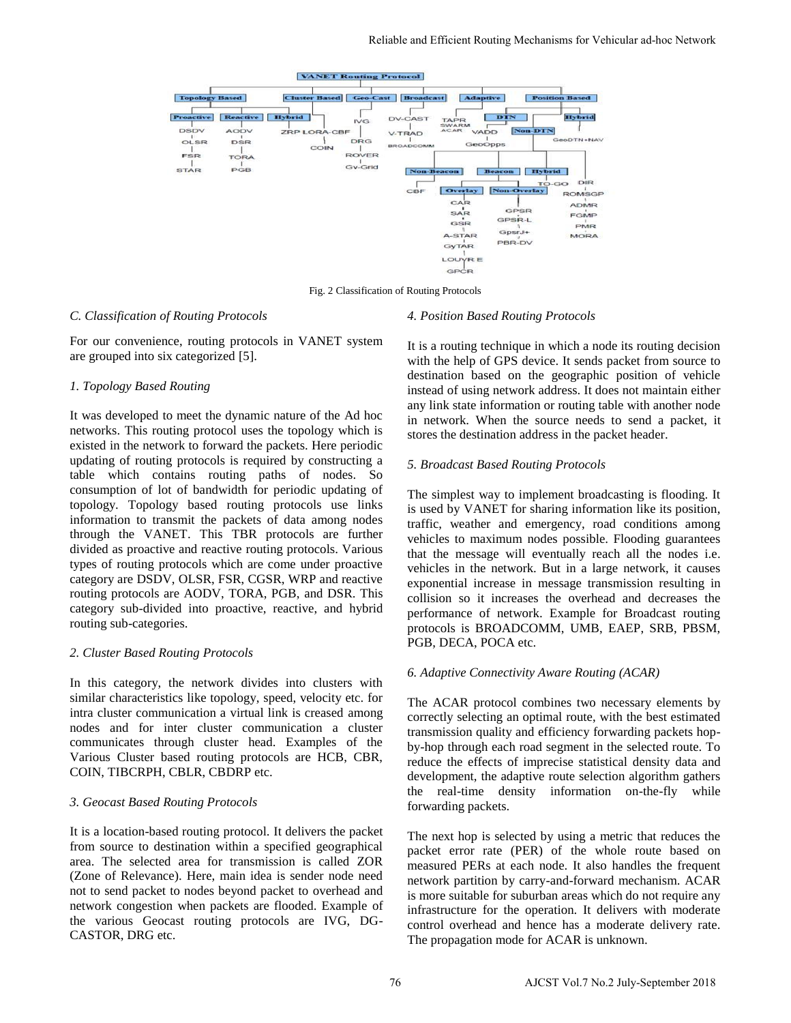

Fig. 2 Classification of Routing Protocols

## *C. Classification of Routing Protocols*

For our convenience, routing protocols in VANET system are grouped into six categorized [5].

## *1. Topology Based Routing*

It was developed to meet the dynamic nature of the Ad hoc networks. This routing protocol uses the topology which is existed in the network to forward the packets. Here periodic updating of routing protocols is required by constructing a table which contains routing paths of nodes. So consumption of lot of bandwidth for periodic updating of topology. Topology based routing protocols use links information to transmit the packets of data among nodes through the VANET. This TBR protocols are further divided as proactive and reactive routing protocols. Various types of routing protocols which are come under proactive category are DSDV, OLSR, FSR, CGSR, WRP and reactive routing protocols are AODV, TORA, PGB, and DSR. This category sub-divided into proactive, reactive, and hybrid routing sub-categories.

## *2. Cluster Based Routing Protocols*

In this category, the network divides into clusters with similar characteristics like topology, speed, velocity etc. for intra cluster communication a virtual link is creased among nodes and for inter cluster communication a cluster communicates through cluster head. Examples of the Various Cluster based routing protocols are HCB, CBR, COIN, TIBCRPH, CBLR, CBDRP etc.

## *3. Geocast Based Routing Protocols*

It is a location-based routing protocol. It delivers the packet from source to destination within a specified geographical area. The selected area for transmission is called ZOR (Zone of Relevance). Here, main idea is sender node need not to send packet to nodes beyond packet to overhead and network congestion when packets are flooded. Example of the various Geocast routing protocols are IVG, DG-CASTOR, DRG etc.

## *4. Position Based Routing Protocols*

It is a routing technique in which a node its routing decision with the help of GPS device. It sends packet from source to destination based on the geographic position of vehicle instead of using network address. It does not maintain either any link state information or routing table with another node in network. When the source needs to send a packet, it stores the destination address in the packet header.

## *5. Broadcast Based Routing Protocols*

The simplest way to implement broadcasting is flooding. It is used by VANET for sharing information like its position, traffic, weather and emergency, road conditions among vehicles to maximum nodes possible. Flooding guarantees that the message will eventually reach all the nodes i.e. vehicles in the network. But in a large network, it causes exponential increase in message transmission resulting in collision so it increases the overhead and decreases the performance of network. Example for Broadcast routing protocols is BROADCOMM, UMB, EAEP, SRB, PBSM, PGB, DECA, POCA etc.

## *6. Adaptive Connectivity Aware Routing (ACAR)*

The ACAR protocol combines two necessary elements by correctly selecting an optimal route, with the best estimated transmission quality and efficiency forwarding packets hopby-hop through each road segment in the selected route. To reduce the effects of imprecise statistical density data and development, the adaptive route selection algorithm gathers the real-time density information on-the-fly while forwarding packets.

The next hop is selected by using a metric that reduces the packet error rate (PER) of the whole route based on measured PERs at each node. It also handles the frequent network partition by carry-and-forward mechanism. ACAR is more suitable for suburban areas which do not require any infrastructure for the operation. It delivers with moderate control overhead and hence has a moderate delivery rate. The propagation mode for ACAR is unknown.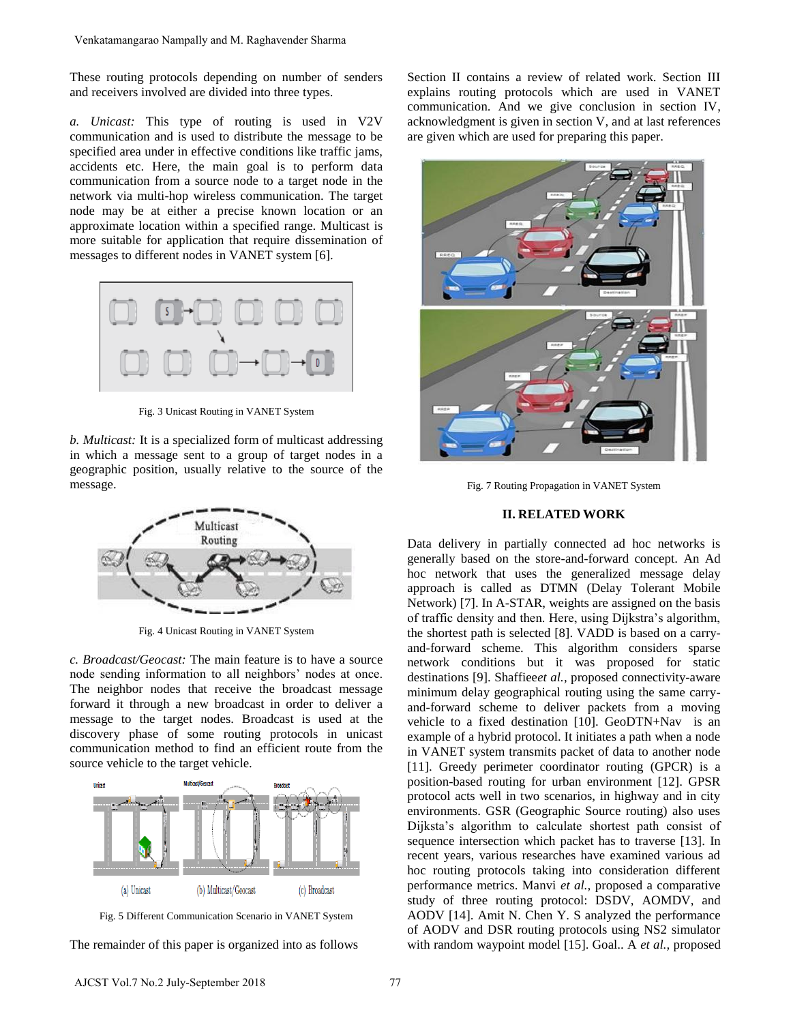These routing protocols depending on number of senders and receivers involved are divided into three types.

*a. Unicast:* This type of routing is used in V2V communication and is used to distribute the message to be specified area under in effective conditions like traffic jams, accidents etc. Here, the main goal is to perform data communication from a source node to a target node in the network via multi-hop wireless communication. The target node may be at either a precise known location or an approximate location within a specified range. Multicast is more suitable for application that require dissemination of messages to different nodes in VANET system [6]. Venkatamangarao Nampally and M. Raghavender Shama<br>
These routing protocols depending on number of senders<br>
Indicative more of the virtual into these types.<br>
L. Unicoat: This type of routing is used in V2V<br>
normanication a



Fig. 3 Unicast Routing in VANET System

*b. Multicast:* It is a specialized form of multicast addressing in which a message sent to a group of target nodes in a geographic position, usually relative to the source of the message.



Fig. 4 Unicast Routing in VANET System

*c. Broadcast/Geocast:* The main feature is to have a source node sending information to all neighbors' nodes at once. The neighbor nodes that receive the broadcast message forward it through a new broadcast in order to deliver a message to the target nodes. Broadcast is used at the discovery phase of some routing protocols in unicast communication method to find an efficient route from the source vehicle to the target vehicle.



Fig. 5 Different Communication Scenario in VANET System

The remainder of this paper is organized into as follows

Section II contains a review of related work. Section III explains routing protocols which are used in VANET communication. And we give conclusion in section IV, acknowledgment is given in section V, and at last references are given which are used for preparing this paper.



Fig. 7 Routing Propagation in VANET System

#### **II. RELATED WORK**

Data delivery in partially connected ad hoc networks is generally based on the store-and-forward concept. An Ad hoc network that uses the generalized message delay approach is called as DTMN (Delay Tolerant Mobile Network) [7]. In A-STAR, weights are assigned on the basis of traffic density and then. Here, using Dijkstra's algorithm, the shortest path is selected [8]. VADD is based on a carryand-forward scheme. This algorithm considers sparse network conditions but it was proposed for static destinations [9]. Shaffiee*et al.,* proposed connectivity-aware minimum delay geographical routing using the same carryand-forward scheme to deliver packets from a moving vehicle to a fixed destination [10]. GeoDTN+Nav is an example of a hybrid protocol. It initiates a path when a node in VANET system transmits packet of data to another node [11]. Greedy perimeter coordinator routing (GPCR) is a position-based routing for urban environment [12]. GPSR protocol acts well in two scenarios, in highway and in city environments. GSR (Geographic Source routing) also uses Dijksta's algorithm to calculate shortest path consist of sequence intersection which packet has to traverse [13]. In recent years, various researches have examined various ad hoc routing protocols taking into consideration different performance metrics. Manvi *et al.,* proposed a comparative study of three routing protocol: DSDV, AOMDV, and AODV [14]. Amit N. Chen Y. S analyzed the performance of AODV and DSR routing protocols using NS2 simulator with random waypoint model [15]. Goal.. A *et al.,* proposed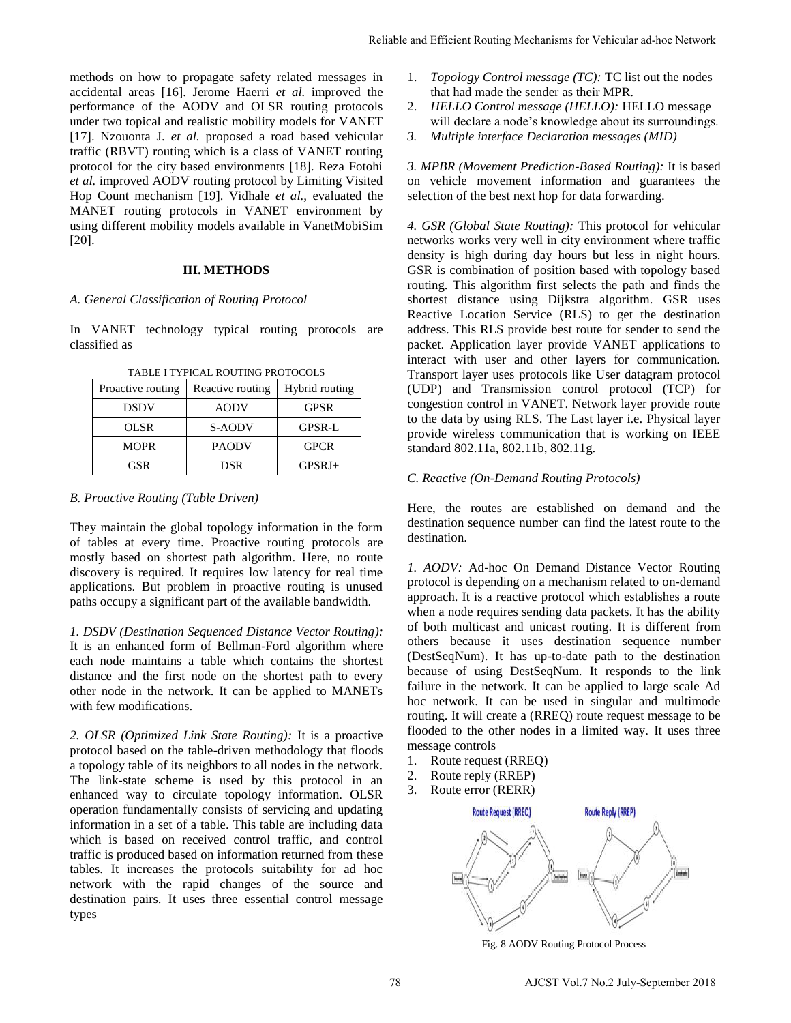methods on how to propagate safety related messages in accidental areas [16]. Jerome Haerri *et al.* improved the performance of the AODV and OLSR routing protocols under two topical and realistic mobility models for VANET [17]. Nzouonta J. *et al.* proposed a road based vehicular traffic (RBVT) routing which is a class of VANET routing protocol for the city based environments [18]. Reza Fotohi *et al.* improved AODV routing protocol by Limiting Visited Hop Count mechanism [19]. Vidhale *et al.,* evaluated the MANET routing protocols in VANET environment by using different mobility models available in VanetMobiSim [20].

## **III. METHODS**

## *A. General Classification of Routing Protocol*

In VANET technology typical routing protocols are classified as

| Proactive routing | Reactive routing | Hybrid routing |
|-------------------|------------------|----------------|
| <b>DSDV</b>       | <b>AODV</b>      | <b>GPSR</b>    |
| OLSR              | S-AODV           | <b>GPSR-L</b>  |
| <b>MOPR</b>       | <b>PAODV</b>     | <b>GPCR</b>    |
| GSR               | DSR              | $GPSRI+$       |

TABLE I TYPICAL ROUTING PROTOCOLS

## *B. Proactive Routing (Table Driven)*

They maintain the global topology information in the form of tables at every time. Proactive routing protocols are mostly based on shortest path algorithm. Here, no route discovery is required. It requires low latency for real time applications. But problem in proactive routing is unused paths occupy a significant part of the available bandwidth.

*1. DSDV (Destination Sequenced Distance Vector Routing):*  It is an enhanced form of Bellman-Ford algorithm where each node maintains a table which contains the shortest distance and the first node on the shortest path to every other node in the network. It can be applied to MANETs with few modifications.

*2. OLSR (Optimized Link State Routing):* It is a proactive protocol based on the table-driven methodology that floods a topology table of its neighbors to all nodes in the network. The link-state scheme is used by this protocol in an enhanced way to circulate topology information. OLSR operation fundamentally consists of servicing and updating information in a set of a table. This table are including data which is based on received control traffic, and control traffic is produced based on information returned from these tables. It increases the protocols suitability for ad hoc network with the rapid changes of the source and destination pairs. It uses three essential control message types

- 1. *Topology Control message (TC):* TC list out the nodes that had made the sender as their MPR.
- 2. *HELLO Control message (HELLO):* HELLO message will declare a node's knowledge about its surroundings.
- *3. Multiple interface Declaration messages (MID)*

*3. MPBR (Movement Prediction-Based Routing):* It is based on vehicle movement information and guarantees the selection of the best next hop for data forwarding.

*4. GSR (Global State Routing):* This protocol for vehicular networks works very well in city environment where traffic density is high during day hours but less in night hours. GSR is combination of position based with topology based routing. This algorithm first selects the path and finds the shortest distance using Dijkstra algorithm. GSR uses Reactive Location Service (RLS) to get the destination address. This RLS provide best route for sender to send the packet. Application layer provide VANET applications to interact with user and other layers for communication. Transport layer uses protocols like User datagram protocol (UDP) and Transmission control protocol (TCP) for congestion control in VANET. Network layer provide route to the data by using RLS. The Last layer i.e. Physical layer provide wireless communication that is working on IEEE standard 802.11a, 802.11b, 802.11g. Reliable and Ffrichar Routing Mechanisms for Vehicular ad-hoc Network<br>
in The photogromoton mechanisms (with The Control mechanisms of the model<br>
the that and made the sender as their MPR.<br>
2. HELLO Control mecosege (HELL

## *C. Reactive (On-Demand Routing Protocols)*

Here, the routes are established on demand and the destination sequence number can find the latest route to the destination.

*1. AODV:* Ad-hoc On Demand Distance Vector Routing protocol is depending on a mechanism related to on-demand approach. It is a reactive protocol which establishes a route when a node requires sending data packets. It has the ability of both multicast and unicast routing. It is different from others because it uses destination sequence number (DestSeqNum). It has up-to-date path to the destination because of using DestSeqNum. It responds to the link failure in the network. It can be applied to large scale Ad hoc network. It can be used in singular and multimode routing. It will create a (RREQ) route request message to be flooded to the other nodes in a limited way. It uses three message controls

- 1. Route request (RREQ)
- 2. Route reply (RREP)
- 3. Route error (RERR)



Fig. 8 AODV Routing Protocol Process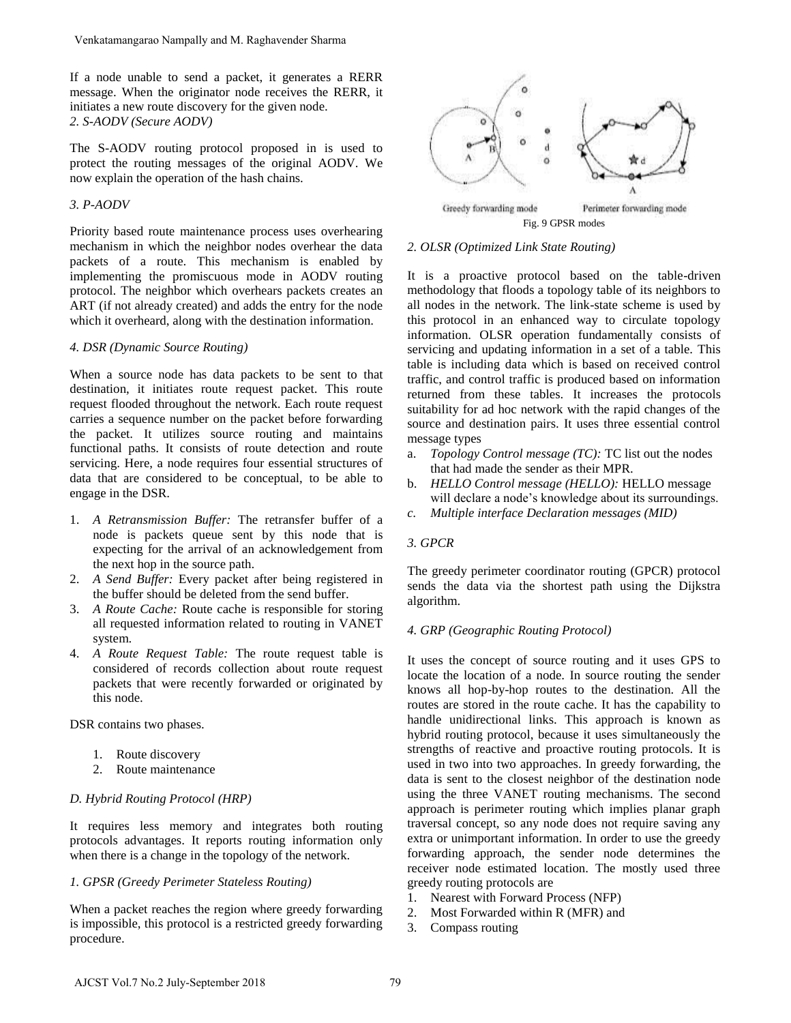If a node unable to send a packet, it generates a RERR message. When the originator node receives the RERR, it initiates a new route discovery for the given node. *2. S-AODV (Secure AODV)* 

The S-AODV routing protocol proposed in is used to protect the routing messages of the original AODV. We now explain the operation of the hash chains.

## *3. P-AODV*

Priority based route maintenance process uses overhearing mechanism in which the neighbor nodes overhear the data packets of a route. This mechanism is enabled by implementing the promiscuous mode in AODV routing protocol. The neighbor which overhears packets creates an ART (if not already created) and adds the entry for the node which it overheard, along with the destination information.

## *4. DSR (Dynamic Source Routing)*

When a source node has data packets to be sent to that destination, it initiates route request packet. This route request flooded throughout the network. Each route request carries a sequence number on the packet before forwarding the packet. It utilizes source routing and maintains functional paths. It consists of route detection and route servicing. Here, a node requires four essential structures of data that are considered to be conceptual, to be able to engage in the DSR. Venkatamangarao Nampally and M. Raghavender Shama<br>
1 a node unable to sead a packet, it generates a RERR<br>
1 a node unable to sead a packet, it generates the RERR, it<br>
actives the NGRE Construct the construction of the act

- 1. *A Retransmission Buffer:* The retransfer buffer of a node is packets queue sent by this node that is expecting for the arrival of an acknowledgement from the next hop in the source path.
- 2. *A Send Buffer:* Every packet after being registered in the buffer should be deleted from the send buffer.
- 3. *A Route Cache:* Route cache is responsible for storing all requested information related to routing in VANET system.
- 4. *A Route Request Table:* The route request table is considered of records collection about route request packets that were recently forwarded or originated by this node.

DSR contains two phases.

- 1. Route discovery
- 2. Route maintenance

## *D. Hybrid Routing Protocol (HRP)*

It requires less memory and integrates both routing protocols advantages. It reports routing information only when there is a change in the topology of the network.

## *1. GPSR (Greedy Perimeter Stateless Routing)*

When a packet reaches the region where greedy forwarding is impossible, this protocol is a restricted greedy forwarding procedure.



## *2. OLSR (Optimized Link State Routing)*

It is a proactive protocol based on the table-driven methodology that floods a topology table of its neighbors to all nodes in the network. The link-state scheme is used by this protocol in an enhanced way to circulate topology information. OLSR operation fundamentally consists of servicing and updating information in a set of a table. This table is including data which is based on received control traffic, and control traffic is produced based on information returned from these tables. It increases the protocols suitability for ad hoc network with the rapid changes of the source and destination pairs. It uses three essential control message types

- a. *Topology Control message (TC):* TC list out the nodes that had made the sender as their MPR.
- b. *HELLO Control message (HELLO):* HELLO message will declare a node's knowledge about its surroundings.
- *c. Multiple interface Declaration messages (MID)*

# *3. GPCR*

The greedy perimeter coordinator routing (GPCR) protocol sends the data via the shortest path using the Dijkstra algorithm.

## *4. GRP (Geographic Routing Protocol)*

It uses the concept of source routing and it uses GPS to locate the location of a node. In source routing the sender knows all hop-by-hop routes to the destination. All the routes are stored in the route cache. It has the capability to handle unidirectional links. This approach is known as hybrid routing protocol, because it uses simultaneously the strengths of reactive and proactive routing protocols. It is used in two into two approaches. In greedy forwarding, the data is sent to the closest neighbor of the destination node using the three VANET routing mechanisms. The second approach is perimeter routing which implies planar graph traversal concept, so any node does not require saving any extra or unimportant information. In order to use the greedy forwarding approach, the sender node determines the receiver node estimated location. The mostly used three greedy routing protocols are

- 1. Nearest with Forward Process (NFP)
- 2. Most Forwarded within R (MFR) and
- 3. Compass routing